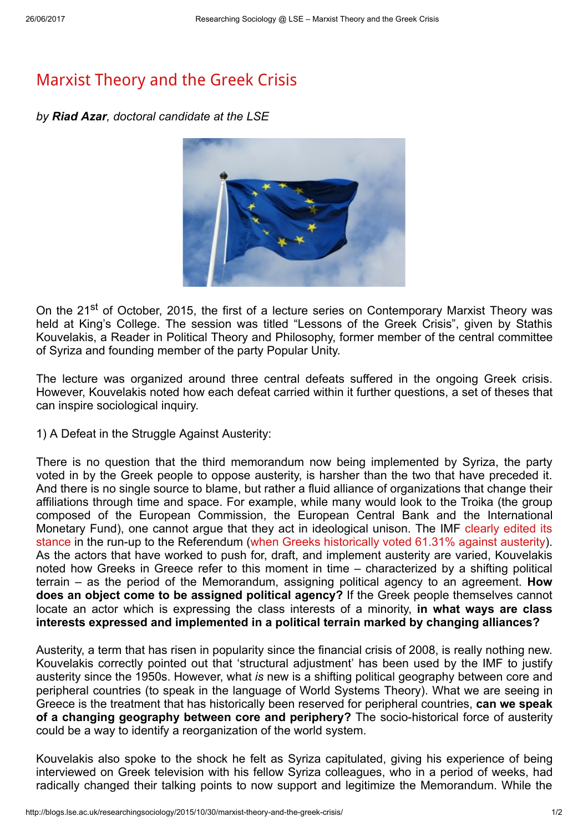## [Marxist](http://blogs.lse.ac.uk/researchingsociology/2015/10/30/marxist-theory-and-the-greek-crisis/) Theory and the Greek Crisis

by Riad Azar, doctoral candidate at the LSE



On the 21<sup>st</sup> of October, 2015, the first of a lecture series on Contemporary Marxist Theory was held at King's College. The session was titled "Lessons of the Greek Crisis", given by Stathis Kouvelakis, a Reader in Political Theory and Philosophy, former member of the central committee of Syriza and founding member of the party Popular Unity.

The lecture was organized around three central defeats suffered in the ongoing Greek crisis. However, Kouvelakis noted how each defeat carried within it further questions, a set of theses that can inspire sociological inquiry.

1) A Defeat in the Struggle Against Austerity:

There is no question that the third memorandum now being implemented by Syriza, the party voted in by the Greek people to oppose austerity, is harsher than the two that have preceded it. And there is no single source to blame, but rather a fluid alliance of organizations that change their affiliations through time and space. For example, while many would look to the Troika (the group composed of the European Commission, the European Central Bank and the International Monetary Fund), one cannot argue that they act in ideological unison. The IMF clearly edited its stance in the run-up to the [Referendum](http://uk.reuters.com/article/2015/07/14/uk-eurozone-greece-imf-report-idUKKCN0PO1C920150714) (when Greeks [historically](http://www.theguardian.com/business/2015/jul/05/greek-referendum-no-vote-signals-huge-challenge-to-eurozone-leaders) voted 61.31% against austerity). As the actors that have worked to push for, draft, and implement austerity are varied, Kouvelakis noted how Greeks in Greece refer to this moment in time – characterized by a shifting political terrain  $-$  as the period of the Memorandum, assigning political agency to an agreement. How does an object come to be assigned political agency? If the Greek people themselves cannot locate an actor which is expressing the class interests of a minority, in what ways are class interests expressed and implemented in a political terrain marked by changing alliances?

Austerity, a term that has risen in popularity since the financial crisis of 2008, is really nothing new. Kouvelakis correctly pointed out that 'structural adjustment' has been used by the IMF to justify austerity since the 1950s. However, what is new is a shifting political geography between core and peripheral countries (to speak in the language of World Systems Theory). What we are seeing in Greece is the treatment that has historically been reserved for peripheral countries, can we speak of a changing geography between core and periphery? The socio-historical force of austerity could be a way to identify a reorganization of the world system.

Kouvelakis also spoke to the shock he felt as Syriza capitulated, giving his experience of being interviewed on Greek television with his fellow Syriza colleagues, who in a period of weeks, had radically changed their talking points to now support and legitimize the Memorandum. While the